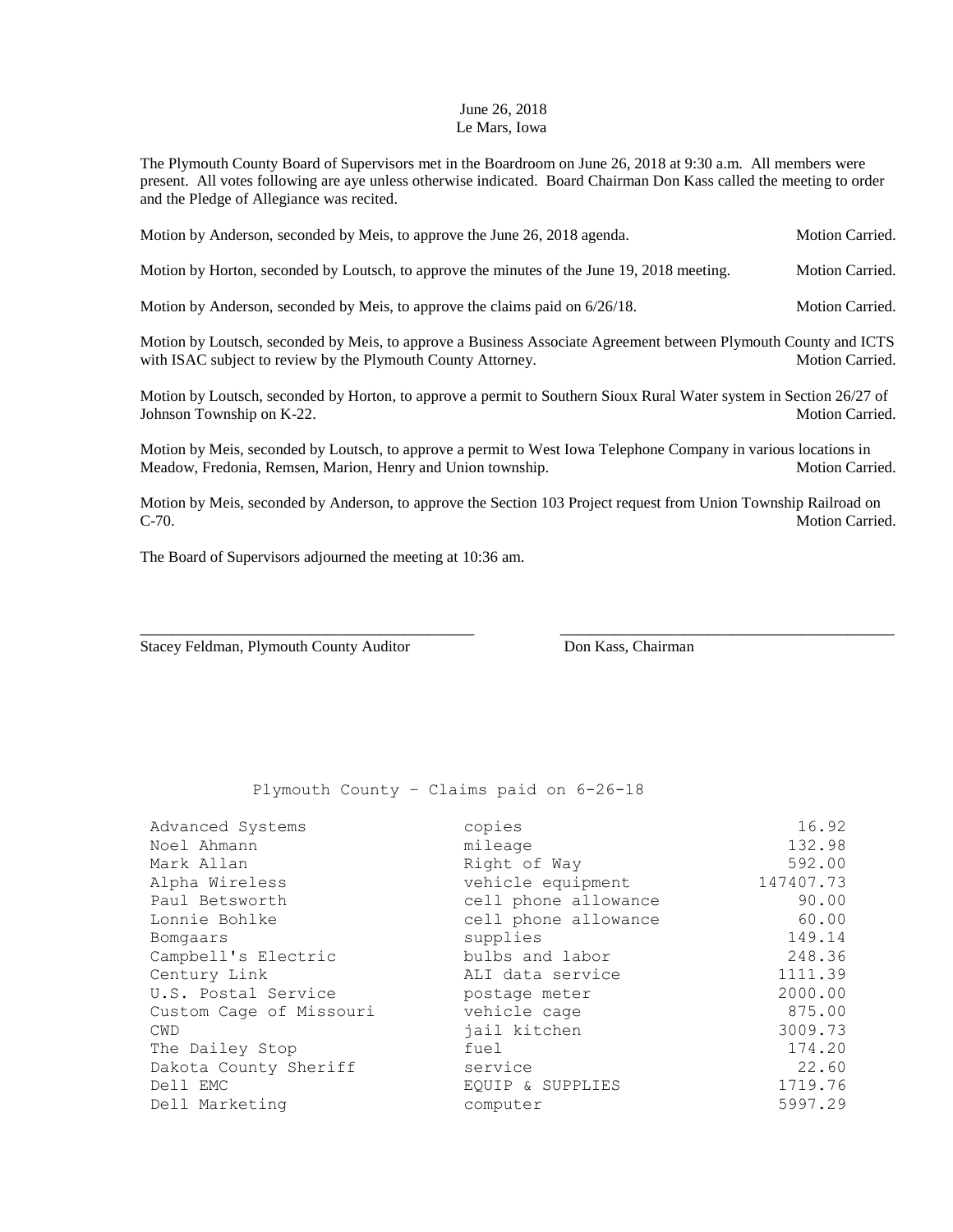## June 26, 2018 Le Mars, Iowa

The Plymouth County Board of Supervisors met in the Boardroom on June 26, 2018 at 9:30 a.m. All members were present. All votes following are aye unless otherwise indicated. Board Chairman Don Kass called the meeting to order and the Pledge of Allegiance was recited.

| Motion by Anderson, seconded by Meis, to approve the June 26, 2018 agenda. | <b>Motion Carried.</b> |
|----------------------------------------------------------------------------|------------------------|
|----------------------------------------------------------------------------|------------------------|

Motion by Horton, seconded by Loutsch, to approve the minutes of the June 19, 2018 meeting. Motion Carried.

Motion by Anderson, seconded by Meis, to approve the claims paid on  $6/26/18$ . Motion Carried.

Motion by Loutsch, seconded by Meis, to approve a Business Associate Agreement between Plymouth County and ICTS with ISAC subject to review by the Plymouth County Attorney. Motion Carried.

Motion by Loutsch, seconded by Horton, to approve a permit to Southern Sioux Rural Water system in Section 26/27 of Johnson Township on K-22. Motion Carried.

Motion by Meis, seconded by Loutsch, to approve a permit to West Iowa Telephone Company in various locations in Meadow, Fredonia, Remsen, Marion, Henry and Union township. Motion Carried. Motion Carried.

Motion by Meis, seconded by Anderson, to approve the Section 103 Project request from Union Township Railroad on C-70. Motion Carried.

\_\_\_\_\_\_\_\_\_\_\_\_\_\_\_\_\_\_\_\_\_\_\_\_\_\_\_\_\_\_\_\_\_\_\_\_\_\_\_\_\_\_\_ \_\_\_\_\_\_\_\_\_\_\_\_\_\_\_\_\_\_\_\_\_\_\_\_\_\_\_\_\_\_\_\_\_\_\_\_\_\_\_\_\_\_\_

The Board of Supervisors adjourned the meeting at 10:36 am.

Stacey Feldman, Plymouth County Auditor Don Kass, Chairman

Plymouth County – Claims paid on 6-26-18

| Advanced Systems        | copies               | 16.92     |
|-------------------------|----------------------|-----------|
| Noel Ahmann             | mileage              | 132.98    |
| Mark Allan              | Right of Way         | 592.00    |
| Alpha Wireless          | vehicle equipment    | 147407.73 |
| Paul Betsworth          | cell phone allowance | 90.00     |
| Lonnie Bohlke           | cell phone allowance | 60.00     |
| Bomgaars                | supplies             | 149.14    |
| Campbell's Electric     | bulbs and labor      | 248.36    |
| Century Link            | ALI data service     | 1111.39   |
| U.S. Postal Service     | postage meter        | 2000.00   |
| Custom Cage of Missouri | vehicle cage         | 875.00    |
| <b>CWD</b>              | jail kitchen         | 3009.73   |
| The Dailey Stop         | fuel                 | 174.20    |
| Dakota County Sheriff   | service              | 22.60     |
| Dell EMC                | EQUIP & SUPPLIES     | 1719.76   |
| Dell Marketing          | computer             | 5997.29   |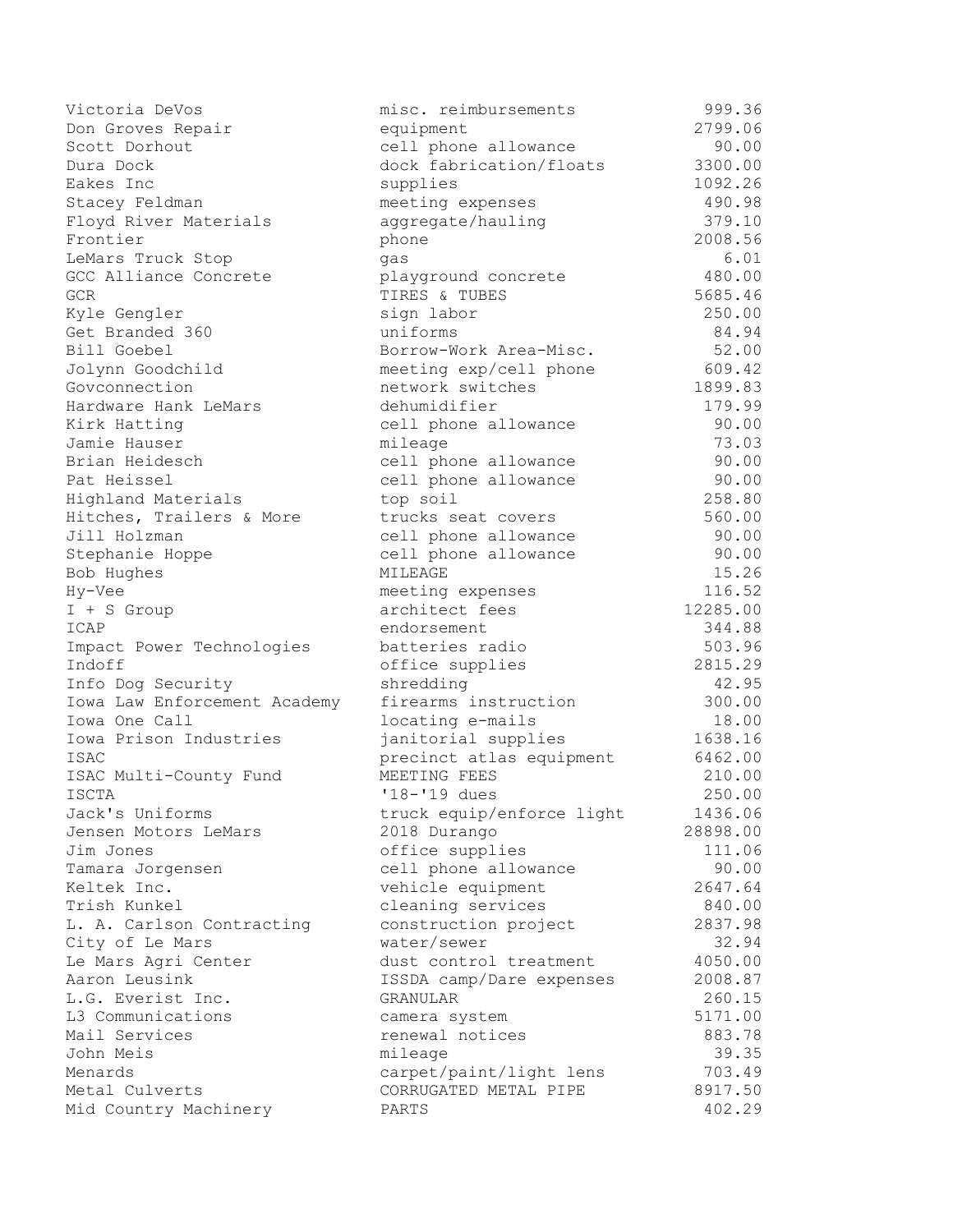Victoria DeVos misc. reimbursements 999.36 Don Groves Repair equipment 2799.06 Scott Dorhout **cell** phone allowance 90.00 Dura Dock dock fabrication/floats 3300.00 Eakes Inc supplies that the supplies that the supplies of  $1092.26$ Stacey Feldman meeting expenses 490.98 Floyd River Materials aggregate/hauling 379.10 Frontier 2008.56 LeMars Truck Stop and the gas the contract of the G.01 GCC Alliance Concrete **180.00** playground concrete 480.00 GCR TIRES & TUBES 5685.46 Kyle Gengler sign labor 250.00 Get Branded 360 aniforms 84.94 Bill Goebel Borrow-Work Area-Misc. 52.00 Jolynn Goodchild meeting exp/cell phone 609.42 Govconnection **network** switches 1899.83 Hardware Hank LeMars dehumidifier 179.99 Kirk Hatting cell phone allowance 90.00 Jamie Hauser mileage 73.03 Brian Heidesch cell phone allowance 90.00 Pat Heissel **East Communist Cell phone allowance** 30.00 Highland Materials top soil 258.80 Hitches, Trailers & More trucks seat covers 60.00 Jill Holzman cell phone allowance 90.00 Stephanie Hoppe cell phone allowance 90.00 Bob Hughes 15.26 Hy-Vee meeting expenses 116.52 I + S Group **architect** fees 12285.00 ICAP endorsement 344.88 Impact Power Technologies batteries radio 503.96 Indoff **being office** supplies 2815.29 Info Dog Security and Shredding and the shredding the 42.95 Iowa Law Enforcement Academy firearms instruction 300.00 Iowa One Call locating e-mails 18.00 Iowa Prison Industries janitorial supplies 1638.16 ISAC precinct atlas equipment 6462.00 ISAC Multi-County Fund MEETING FEES 210.00 ISCTA '18-'19 dues 250.00 Jack's Uniforms truck equip/enforce light 1436.06 Jensen Motors LeMars 2018 Durango 28898.00 Jim Jones office supplies 111.06 Tamara Jorgensen cell phone allowance 90.00 Keltek Inc. 2647.64 Trish Kunkel cleaning services 840.00 L. A. Carlson Contracting construction project 2837.98 City of Le Mars **by City of Le Mars** water/sewer 32.94 Le Mars Agri Center but dust control treatment 4050.00 Aaron Leusink ISSDA camp/Dare expenses 2008.87 L.G. Everist Inc. GRANULAR 260.15 L3 Communications camera system 5171.00 Mail Services renewal notices 883.78 John Meis mileage 39.35 Menards carpet/paint/light lens 703.49 Metal Culverts CORRUGATED METAL PIPE 8917.50 Mid Country Machinery PARTS 402.29